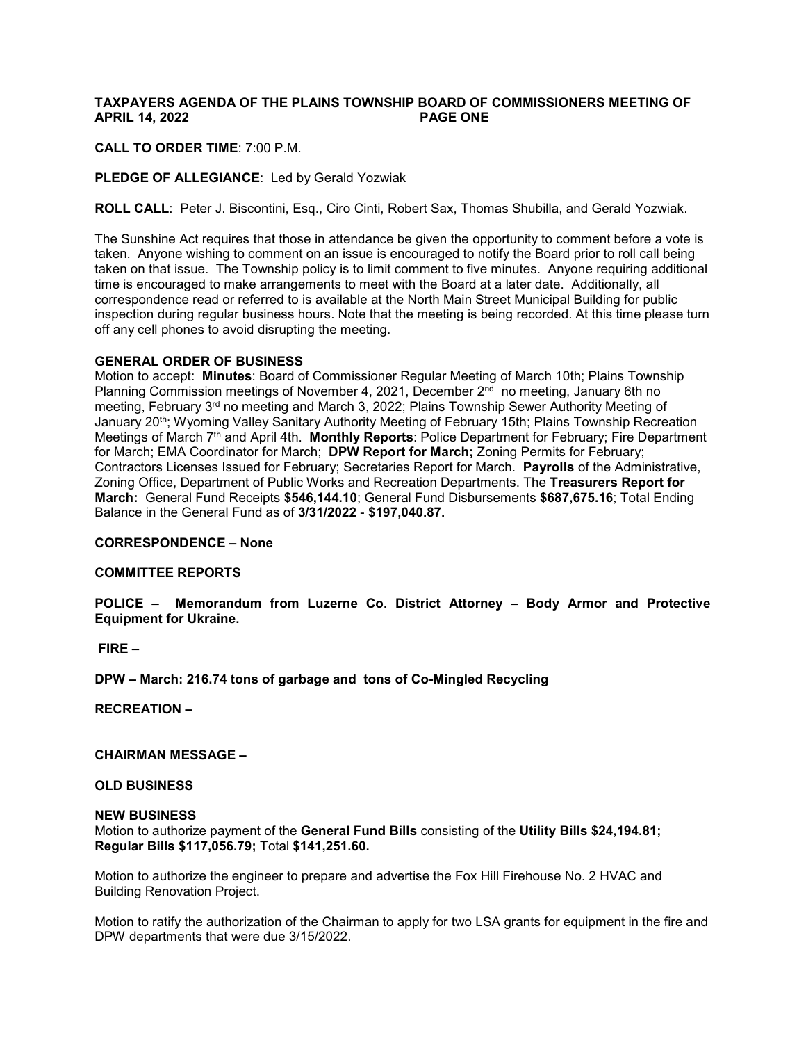# **TAXPAYERS AGENDA OF THE PLAINS TOWNSHIP BOARD OF COMMISSIONERS MEETING OF APRIL 14, 2022 PAGE ONE**

## **CALL TO ORDER TIME**: 7:00 P.M.

### **PLEDGE OF ALLEGIANCE**: Led by Gerald Yozwiak

**ROLL CALL**: Peter J. Biscontini, Esq., Ciro Cinti, Robert Sax, Thomas Shubilla, and Gerald Yozwiak.

The Sunshine Act requires that those in attendance be given the opportunity to comment before a vote is taken. Anyone wishing to comment on an issue is encouraged to notify the Board prior to roll call being taken on that issue. The Township policy is to limit comment to five minutes. Anyone requiring additional time is encouraged to make arrangements to meet with the Board at a later date. Additionally, all correspondence read or referred to is available at the North Main Street Municipal Building for public inspection during regular business hours. Note that the meeting is being recorded. At this time please turn off any cell phones to avoid disrupting the meeting.

#### **GENERAL ORDER OF BUSINESS**

Motion to accept: **Minutes**: Board of Commissioner Regular Meeting of March 10th; Plains Township Planning Commission meetings of November 4, 2021, December  $2<sup>nd</sup>$  no meeting, January 6th no meeting, February 3<sup>rd</sup> no meeting and March 3, 2022; Plains Township Sewer Authority Meeting of January 20<sup>th</sup>; Wyoming Valley Sanitary Authority Meeting of February 15th; Plains Township Recreation Meetings of March 7th and April 4th. **Monthly Reports**: Police Department for February; Fire Department for March; EMA Coordinator for March; **DPW Report for March;** Zoning Permits for February; Contractors Licenses Issued for February; Secretaries Report for March. **Payrolls** of the Administrative, Zoning Office, Department of Public Works and Recreation Departments. The **Treasurers Report for March:** General Fund Receipts **\$546,144.10**; General Fund Disbursements **\$687,675.16**; Total Ending Balance in the General Fund as of **3/31/2022** - **\$197,040.87.** 

#### **CORRESPONDENCE – None**

### **COMMITTEE REPORTS**

**POLICE – Memorandum from Luzerne Co. District Attorney – Body Armor and Protective Equipment for Ukraine.**

### **FIRE –**

**DPW – March: 216.74 tons of garbage and tons of Co-Mingled Recycling**

**RECREATION –**

**CHAIRMAN MESSAGE –**

## **OLD BUSINESS**

#### **NEW BUSINESS**

Motion to authorize payment of the **General Fund Bills** consisting of the **Utility Bills \$24,194.81; Regular Bills \$117,056.79;** Total **\$141,251.60.** 

Motion to authorize the engineer to prepare and advertise the Fox Hill Firehouse No. 2 HVAC and Building Renovation Project.

Motion to ratify the authorization of the Chairman to apply for two LSA grants for equipment in the fire and DPW departments that were due 3/15/2022.